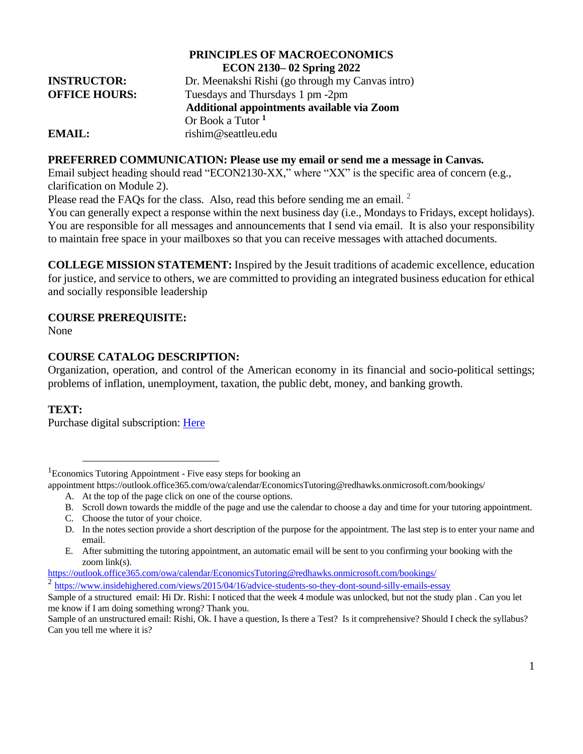## **PRINCIPLES OF MACROECONOMICS ECON 2130– 02 Spring 2022 INSTRUCTOR:** Dr. Meenakshi Rishi (go through my Canvas intro) **OFFICE HOURS:** Tuesdays and Thursdays 1 pm -2pm  **Additional appointments available via Zoom**  Or Book a Tutor **<sup>1</sup> EMAIL:** rishim@seattleu.edu

### **PREFERRED COMMUNICATION: Please use my email or send me a message in Canvas.**

Email subject heading should read "ECON2130-XX," where "XX" is the specific area of concern (e.g., clarification on Module 2).

Please read the FAQs for the class. Also, read this before sending me an email.  $2$ 

You can generally expect a response within the next business day (i.e., Mondays to Fridays, except holidays). You are responsible for all messages and announcements that I send via email. It is also your responsibility to maintain free space in your mailboxes so that you can receive messages with attached documents.

**COLLEGE MISSION STATEMENT:** Inspired by the Jesuit traditions of academic excellence, education for justice, and service to others, we are committed to providing an integrated business education for ethical and socially responsible leadership

### **COURSE PREREQUISITE:**

None

### **COURSE CATALOG DESCRIPTION:**

Organization, operation, and control of the American economy in its financial and socio-political settings; problems of inflation, unemployment, taxation, the public debt, money, and banking growth.

## **TEXT:**

Purchase digital subscription: [Here](https://www.bkstr.com/seattleucampusstore/course-materials-results?shopBy=course&divisionDisplayName=%7C&departmentDisplayName=ECON%7CECON&courseDisplayName=2130%7C2130§ionDisplayName=02%7C03&programId=3771&termId=100073584)

<https://outlook.office365.com/owa/calendar/EconomicsTutoring@redhawks.onmicrosoft.com/bookings/>

<sup>2</sup> <https://www.insidehighered.com/views/2015/04/16/advice-students-so-they-dont-sound-silly-emails-essay>

<sup>&</sup>lt;sup>1</sup>Economics Tutoring Appointment - Five easy steps for booking an

appointment [https://outlook.office365.com/owa/calendar/EconomicsTutoring@redhawks.onmicrosoft.com/bookings/](https://nam02.safelinks.protection.outlook.com/?url=https%3A%2F%2Foutlook.office365.com%2Fowa%2Fcalendar%2FEconomicsTutoring%40redhawks.onmicrosoft.com%2Fbookings%2F&data=04%7C01%7Crishim%40seattleu.edu%7C0184051c378d42c8602208d89ae909fb%7Cbc10e052b01c48499967ee7ec74fc9d8%7C0%7C0%7C637429672971384501%7CUnknown%7CTWFpbGZsb3d8eyJWIjoiMC4wLjAwMDAiLCJQIjoiV2luMzIiLCJBTiI6Ik1haWwiLCJXVCI6Mn0%3D%7C1000&sdata=eC%2Fz%2BBeZLA8T%2FC7y9gvcvZ8z0L%2Ffhqe3H1kT5keH2ls%3D&reserved=0)

A. At the top of the page click on one of the course options.

B. Scroll down towards the middle of the page and use the calendar to choose a day and time for your tutoring appointment.

C. Choose the tutor of your choice.

D. In the notes section provide a short description of the purpose for the appointment. The last step is to enter your name and email.

E. After submitting the tutoring appointment, an automatic email will be sent to you confirming your booking with the zoom link(s).

Sample of a structured email: Hi Dr. Rishi: I noticed that the week 4 module was unlocked, but not the study plan . Can you let me know if I am doing something wrong? Thank you.

Sample of an unstructured email: Rishi, Ok. I have a question, Is there a Test? Is it comprehensive? Should I check the syllabus? Can you tell me where it is?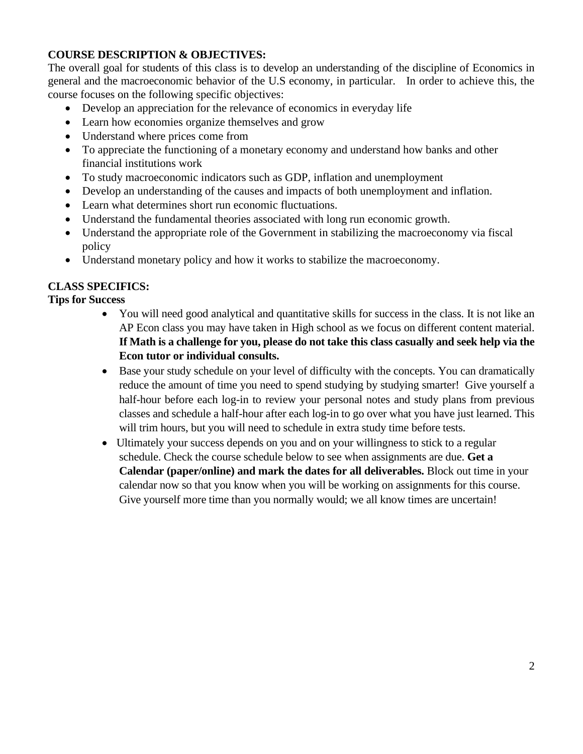# **COURSE DESCRIPTION & OBJECTIVES:**

The overall goal for students of this class is to develop an understanding of the discipline of Economics in general and the macroeconomic behavior of the U.S economy, in particular. In order to achieve this, the course focuses on the following specific objectives:

- Develop an appreciation for the relevance of economics in everyday life
- Learn how economies organize themselves and grow
- Understand where prices come from
- To appreciate the functioning of a monetary economy and understand how banks and other financial institutions work
- To study macroeconomic indicators such as GDP, inflation and unemployment
- Develop an understanding of the causes and impacts of both unemployment and inflation.
- Learn what determines short run economic fluctuations.
- Understand the fundamental theories associated with long run economic growth.
- Understand the appropriate role of the Government in stabilizing the macroeconomy via fiscal policy
- Understand monetary policy and how it works to stabilize the macroeconomy.

# **CLASS SPECIFICS:**

## **Tips for Success**

- You will need good analytical and quantitative skills for success in the class. It is not like an AP Econ class you may have taken in High school as we focus on different content material. **If Math is a challenge for you, please do not take this class casually and seek help via the Econ tutor or individual consults.**
- Base your study schedule on your level of difficulty with the concepts. You can dramatically reduce the amount of time you need to spend studying by studying smarter! Give yourself a half-hour before each log-in to review your personal notes and study plans from previous classes and schedule a half-hour after each log-in to go over what you have just learned. This will trim hours, but you will need to schedule in extra study time before tests.
- Ultimately your success depends on you and on your willingness to stick to a regular schedule. Check the course schedule below to see when assignments are due. **Get a Calendar (paper/online) and mark the dates for all deliverables.** Block out time in your calendar now so that you know when you will be working on assignments for this course. Give yourself more time than you normally would; we all know times are uncertain!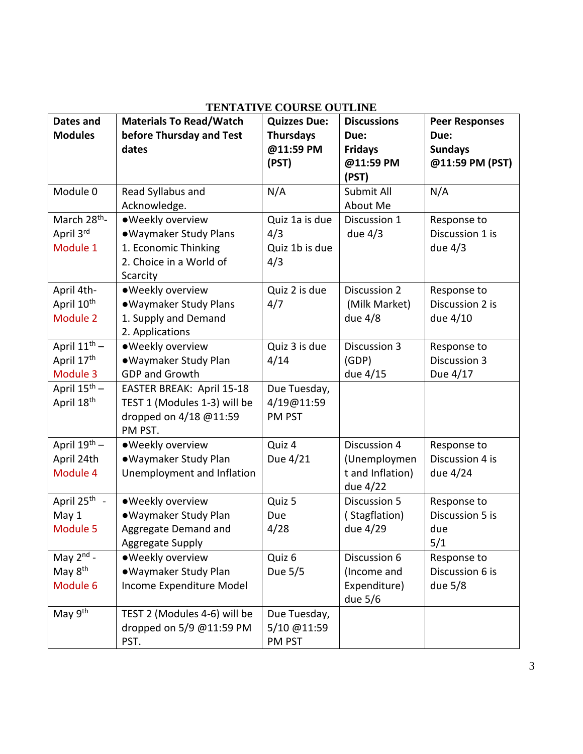| Dates and                    | <b>Materials To Read/Watch</b> | <b>Quizzes Due:</b> | <b>Discussions</b> | <b>Peer Responses</b> |
|------------------------------|--------------------------------|---------------------|--------------------|-----------------------|
| <b>Modules</b>               | before Thursday and Test       | <b>Thursdays</b>    | Due:               | Due:                  |
|                              | dates                          | @11:59 PM           | <b>Fridays</b>     | <b>Sundays</b>        |
|                              |                                | (PST)               | @11:59 PM          | @11:59 PM (PST)       |
|                              |                                |                     | (PST)              |                       |
| Module 0                     | Read Syllabus and              | N/A                 | Submit All         | N/A                   |
|                              | Acknowledge.                   |                     | About Me           |                       |
| March 28 <sup>th</sup> -     | ·Weekly overview               | Quiz 1a is due      | Discussion 1       | Response to           |
| April 3rd                    | . Waymaker Study Plans         | 4/3                 | due $4/3$          | Discussion 1 is       |
| Module 1                     | 1. Economic Thinking           | Quiz 1b is due      |                    | due $4/3$             |
|                              | 2. Choice in a World of        | 4/3                 |                    |                       |
|                              | Scarcity                       |                     |                    |                       |
| April 4th-                   | · Weekly overview              | Quiz 2 is due       | Discussion 2       | Response to           |
| April 10th                   | • Waymaker Study Plans         | 4/7                 | (Milk Market)      | Discussion 2 is       |
| Module 2                     | 1. Supply and Demand           |                     | due 4/8            | due 4/10              |
|                              | 2. Applications                |                     |                    |                       |
| April 11 <sup>th</sup> -     | · Weekly overview              | Quiz 3 is due       | Discussion 3       | Response to           |
| April 17th                   | · Waymaker Study Plan          | 4/14                | (GDP)              | Discussion 3          |
| Module 3                     | <b>GDP and Growth</b>          |                     | due 4/15           | Due 4/17              |
| April $15^{\overline{th}}$ – | EASTER BREAK: April 15-18      | Due Tuesday,        |                    |                       |
| April 18 <sup>th</sup>       | TEST 1 (Modules 1-3) will be   | 4/19@11:59          |                    |                       |
|                              | dropped on 4/18 @11:59         | PM PST              |                    |                       |
|                              | PM PST.                        |                     |                    |                       |
| April 19th -                 | ·Weekly overview               | Quiz 4              | Discussion 4       | Response to           |
| April 24th                   | ·Waymaker Study Plan           | Due 4/21            | (Unemploymen       | Discussion 4 is       |
| Module 4                     | Unemployment and Inflation     |                     | t and Inflation)   | due 4/24              |
|                              |                                |                     | due 4/22           |                       |
| April 25 <sup>th</sup> -     | · Weekly overview              | Quiz 5              | Discussion 5       | Response to           |
| May 1                        | ·Waymaker Study Plan           | Due                 | (Stagflation)      | Discussion 5 is       |
| Module 5                     | Aggregate Demand and           | 4/28                | due 4/29           | due                   |
|                              | Aggregate Supply               |                     |                    | 5/1                   |
| May $2^{nd}$ -               | ·Weekly overview               | Quiz 6              | Discussion 6       | Response to           |
| May 8 <sup>th</sup>          | · Waymaker Study Plan          | Due 5/5             | (Income and        | Discussion 6 is       |
| Module 6                     | Income Expenditure Model       |                     | Expenditure)       | due 5/8               |
|                              |                                |                     | due 5/6            |                       |
| May 9th                      | TEST 2 (Modules 4-6) will be   | Due Tuesday,        |                    |                       |
|                              | dropped on 5/9 @11:59 PM       | 5/10 @11:59         |                    |                       |
|                              | PST.                           | PM PST              |                    |                       |

# **TENTATIVE COURSE OUTLINE**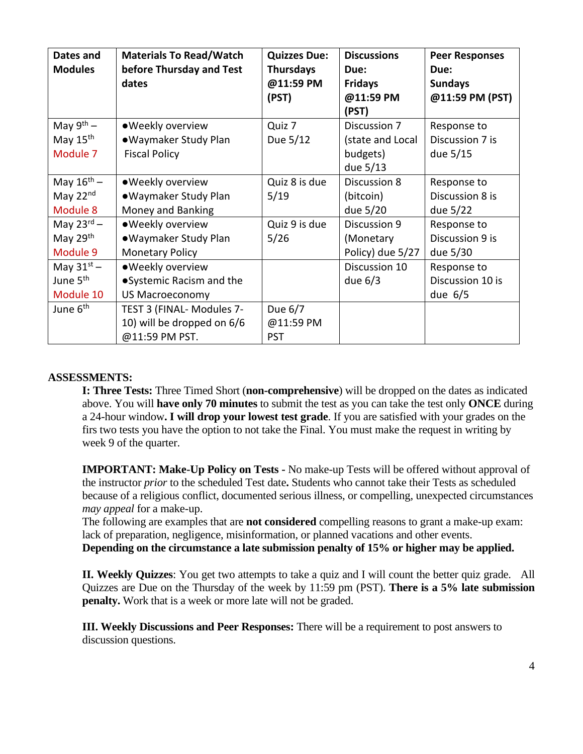| Dates and<br><b>Modules</b> | <b>Materials To Read/Watch</b><br>before Thursday and Test<br>dates | <b>Quizzes Due:</b><br><b>Thursdays</b><br>@11:59 PM<br>(PST) | <b>Discussions</b><br>Due:<br><b>Fridays</b><br>@11:59 PM<br>(PST) | <b>Peer Responses</b><br>Due:<br><b>Sundays</b><br>@11:59 PM (PST) |
|-----------------------------|---------------------------------------------------------------------|---------------------------------------------------------------|--------------------------------------------------------------------|--------------------------------------------------------------------|
| May $9^{th}$ –              | · Weekly overview                                                   | Quiz 7                                                        | Discussion 7                                                       | Response to                                                        |
| May $15th$<br>Module 7      | •Waymaker Study Plan<br><b>Fiscal Policy</b>                        | Due 5/12                                                      | (state and Local<br>budgets)<br>due 5/13                           | Discussion 7 is<br>due 5/15                                        |
| May $16^{\text{th}}$ -      | · Weekly overview                                                   | Quiz 8 is due                                                 | Discussion 8                                                       | Response to                                                        |
| May 22nd                    | •Waymaker Study Plan                                                | 5/19                                                          | (bitcoin)                                                          | Discussion 8 is                                                    |
| Module 8                    | Money and Banking                                                   |                                                               | due 5/20                                                           | due 5/22                                                           |
| May $23^{\text{rd}}$ –      | · Weekly overview                                                   | Quiz 9 is due                                                 | Discussion 9                                                       | Response to                                                        |
| May 29th                    | •Waymaker Study Plan                                                | 5/26                                                          | (Monetary                                                          | Discussion 9 is                                                    |
| Module 9                    | <b>Monetary Policy</b>                                              |                                                               | Policy) due 5/27                                                   | due 5/30                                                           |
| May $31^{st}$ –             | · Weekly overview                                                   |                                                               | Discussion 10                                                      | Response to                                                        |
| June 5 <sup>th</sup>        | ● Systemic Racism and the                                           |                                                               | due $6/3$                                                          | Discussion 10 is                                                   |
| Module 10                   | US Macroeconomy                                                     |                                                               |                                                                    | due $6/5$                                                          |
| June 6 <sup>th</sup>        | TEST 3 (FINAL- Modules 7-                                           | Due 6/7                                                       |                                                                    |                                                                    |
|                             | 10) will be dropped on 6/6                                          | @11:59 PM                                                     |                                                                    |                                                                    |
|                             | @11:59 PM PST.                                                      | <b>PST</b>                                                    |                                                                    |                                                                    |

### **ASSESSMENTS:**

**I: Three Tests:** Three Timed Short (**non-comprehensive**) will be dropped on the dates as indicated above. You will **have only 70 minutes** to submit the test as you can take the test only **ONCE** during a 24-hour window**. I will drop your lowest test grade**. If you are satisfied with your grades on the firs two tests you have the option to not take the Final. You must make the request in writing by week 9 of the quarter.

**IMPORTANT: Make-Up Policy on Tests -** No make-up Tests will be offered without approval of the instructor *prior* to the scheduled Test date**.** Students who cannot take their Tests as scheduled because of a religious conflict, documented serious illness, or compelling, unexpected circumstances *may appeal* for a make-up.

The following are examples that are **not considered** compelling reasons to grant a make-up exam: lack of preparation, negligence, misinformation, or planned vacations and other events.

**Depending on the circumstance a late submission penalty of 15% or higher may be applied.** 

**II. Weekly Quizzes**: You get two attempts to take a quiz and I will count the better quiz grade. All Quizzes are Due on the Thursday of the week by 11:59 pm (PST). **There is a 5% late submission penalty.** Work that is a week or more late will not be graded.

**III. Weekly Discussions and Peer Responses:** There will be a requirement to post answers to discussion questions.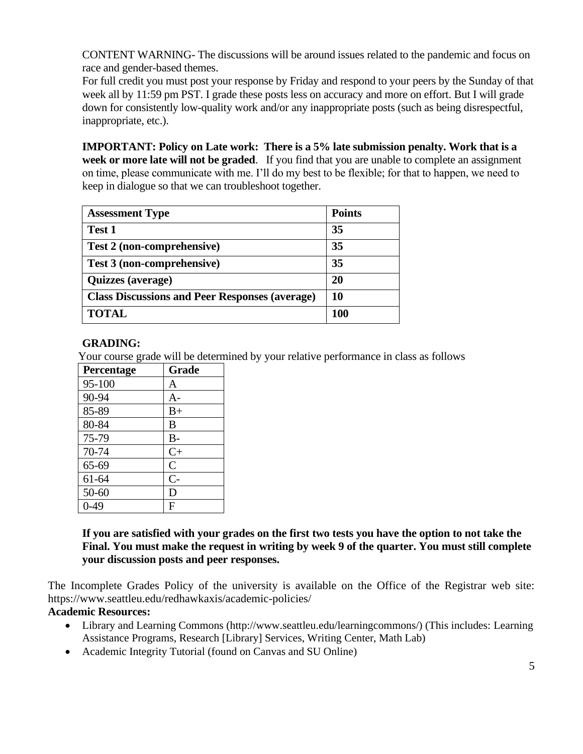CONTENT WARNING- The discussions will be around issues related to the pandemic and focus on race and gender-based themes.

For full credit you must post your response by Friday and respond to your peers by the Sunday of that week all by 11:59 pm PST. I grade these posts less on accuracy and more on effort. But I will grade down for consistently low-quality work and/or any inappropriate posts (such as being disrespectful, inappropriate, etc.).

**IMPORTANT: Policy on Late work: There is a 5% late submission penalty. Work that is a week or more late will not be graded**. If you find that you are unable to complete an assignment on time, please communicate with me. I'll do my best to be flexible; for that to happen, we need to keep in dialogue so that we can troubleshoot together.

| <b>Assessment Type</b>                                | <b>Points</b> |
|-------------------------------------------------------|---------------|
| Test 1                                                | 35            |
| Test 2 (non-comprehensive)                            | 35            |
| Test 3 (non-comprehensive)                            | 35            |
| Quizzes (average)                                     | 20            |
| <b>Class Discussions and Peer Responses (average)</b> | 10            |
| <b>TOTAL</b>                                          | <b>100</b>    |

# **GRADING:**

Your course grade will be determined by your relative performance in class as follows

| Percentage | Grade          |
|------------|----------------|
| 95-100     | A              |
| 90-94      | $A-$           |
| 85-89      | $B+$           |
| 80-84      | B              |
| 75-79      | $B -$          |
| 70-74      | $C+$           |
| 65-69      | $\overline{C}$ |
| 61-64      | $C-$           |
| 50-60      | D              |
| $0-49$     | F              |

**If you are satisfied with your grades on the first two tests you have the option to not take the Final. You must make the request in writing by week 9 of the quarter. You must still complete your discussion posts and peer responses.** 

The Incomplete Grades Policy of the university is available on the Office of the Registrar web site: https://www.seattleu.edu/redhawkaxis/academic-policies/

### **Academic Resources:**

- Library and Learning Commons (http://www.seattleu.edu/learningcommons/) (This includes: Learning Assistance Programs, Research [Library] Services, Writing Center, Math Lab)
- Academic Integrity Tutorial (found on Canvas and SU Online)